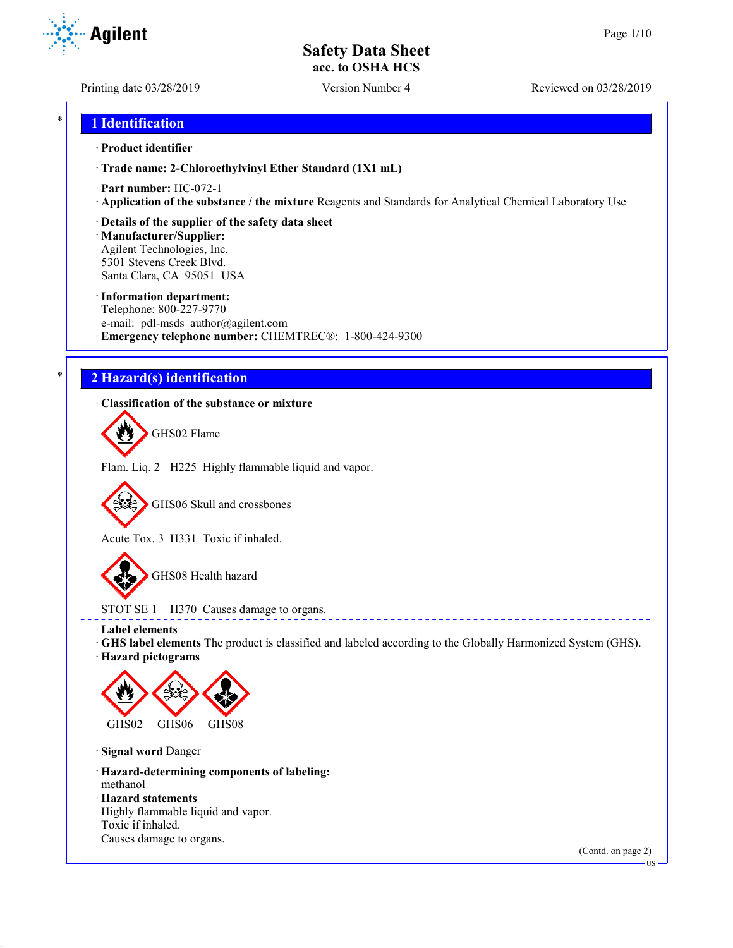Printing date 03/28/2019 Version Number 4 Reviewed on 03/28/2019

## \* **1 Identification**

### · **Product identifier**

· **Trade name: 2-Chloroethylvinyl Ether Standard (1X1 mL)**

- · **Part number:** HC-072-1
- · **Application of the substance / the mixture** Reagents and Standards for Analytical Chemical Laboratory Use
- · **Details of the supplier of the safety data sheet**

· **Manufacturer/Supplier:** Agilent Technologies, Inc. 5301 Stevens Creek Blvd. Santa Clara, CA 95051 USA

#### · **Information department:**

Telephone: 800-227-9770 e-mail: pdl-msds author@agilent.com · **Emergency telephone number:** CHEMTREC®: 1-800-424-9300

# \* **2 Hazard(s) identification**

## · **Classification of the substance or mixture**

GHS02 Flame

Flam. Liq. 2 H225 Highly flammable liquid and vapor.

GHS06 Skull and crossbones

Acute Tox. 3 H331 Toxic if inhaled.

GHS08 Health hazard

STOT SE 1 H370 Causes damage to organs.

· **Label elements**

· **GHS label elements** The product is classified and labeled according to the Globally Harmonized System (GHS).

and the state of the state of the

**ELECT** 

· **Hazard pictograms**



· **Signal word** Danger

· **Hazard-determining components of labeling:** methanol

· **Hazard statements**

Highly flammable liquid and vapor. Toxic if inhaled. Causes damage to organs.

(Contd. on page 2)



US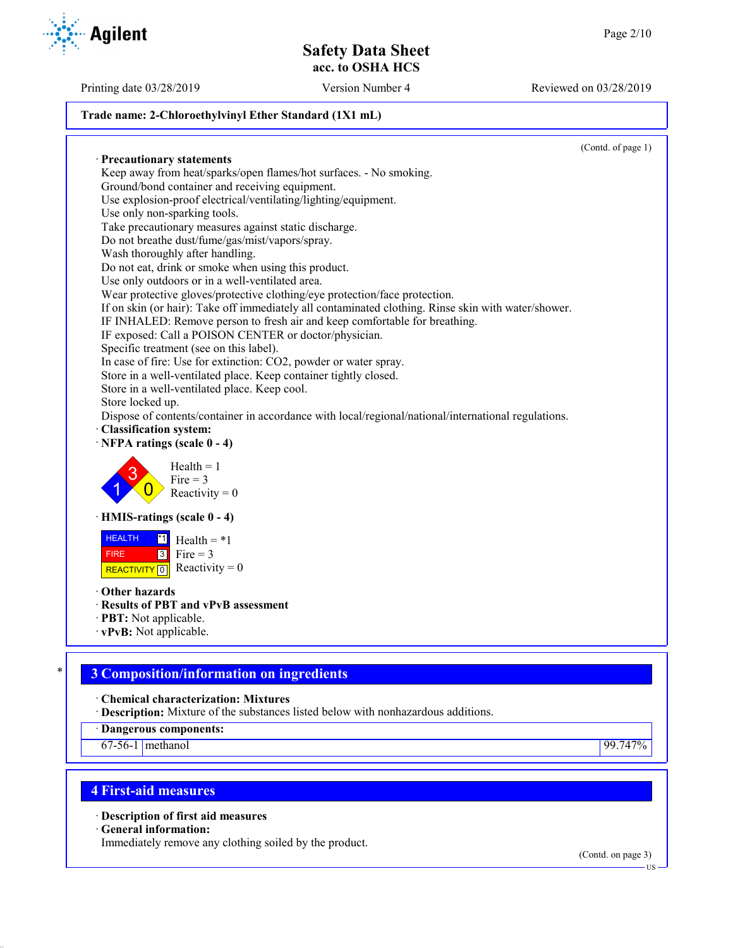## **Trade name: 2-Chloroethylvinyl Ether Standard (1X1 mL)**

· **Precautionary statements** Keep away from heat/sparks/open flames/hot surfaces. - No smoking. Ground/bond container and receiving equipment. Use explosion-proof electrical/ventilating/lighting/equipment. Use only non-sparking tools. Take precautionary measures against static discharge. Do not breathe dust/fume/gas/mist/vapors/spray. Wash thoroughly after handling. Do not eat, drink or smoke when using this product. Use only outdoors or in a well-ventilated area. Wear protective gloves/protective clothing/eye protection/face protection. If on skin (or hair): Take off immediately all contaminated clothing. Rinse skin with water/shower. IF INHALED: Remove person to fresh air and keep comfortable for breathing. IF exposed: Call a POISON CENTER or doctor/physician. Specific treatment (see on this label). In case of fire: Use for extinction: CO2, powder or water spray. Store in a well-ventilated place. Keep container tightly closed. Store in a well-ventilated place. Keep cool. Store locked up. Dispose of contents/container in accordance with local/regional/national/international regulations. · **Classification system:** · **NFPA ratings (scale 0 - 4)** 1 3  $\overline{0}$  $Health = 1$  $Fire = 3$ Reactivity  $= 0$ · **HMIS-ratings (scale 0 - 4) HEALTH**  FIRE REACTIVITY  $\boxed{0}$  Reactivity = 0  $\overline{1}$  Health = \*1  $3$  Fire = 3 · **Other hazards** · **Results of PBT and vPvB assessment** · **PBT:** Not applicable. · **vPvB:** Not applicable.

# \* **3 Composition/information on ingredients**

· **Chemical characterization: Mixtures**

· **Description:** Mixture of the substances listed below with nonhazardous additions.

· **Dangerous components:**

67-56-1 methanol 99.747%

# **4 First-aid measures**

· **Description of first aid measures**

· **General information:**

Immediately remove any clothing soiled by the product.

(Contd. on page 3)



Printing date 03/28/2019 Version Number 4 Reviewed on 03/28/2019

(Contd. of page 1)

US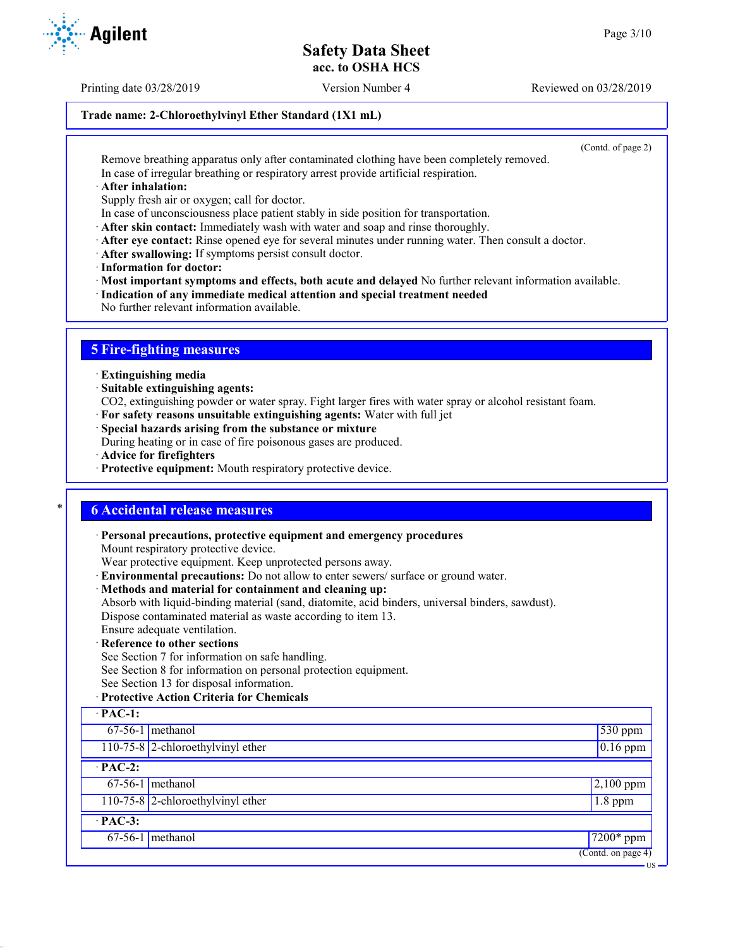Printing date 03/28/2019 Version Number 4 Reviewed on 03/28/2019

## **Trade name: 2-Chloroethylvinyl Ether Standard (1X1 mL)**

(Contd. of page 2)

US

Remove breathing apparatus only after contaminated clothing have been completely removed. In case of irregular breathing or respiratory arrest provide artificial respiration.

· **After inhalation:**

Supply fresh air or oxygen; call for doctor.

- In case of unconsciousness place patient stably in side position for transportation.
- · **After skin contact:** Immediately wash with water and soap and rinse thoroughly.
- · **After eye contact:** Rinse opened eye for several minutes under running water. Then consult a doctor.
- · **After swallowing:** If symptoms persist consult doctor.
- · **Information for doctor:**

· **Most important symptoms and effects, both acute and delayed** No further relevant information available.

- · **Indication of any immediate medical attention and special treatment needed**
- No further relevant information available.

# **5 Fire-fighting measures**

- · **Extinguishing media**
- · **Suitable extinguishing agents:**
- CO2, extinguishing powder or water spray. Fight larger fires with water spray or alcohol resistant foam.
- · **For safety reasons unsuitable extinguishing agents:** Water with full jet
- · **Special hazards arising from the substance or mixture**

During heating or in case of fire poisonous gases are produced.

- · **Advice for firefighters**
- · **Protective equipment:** Mouth respiratory protective device.

## \* **6 Accidental release measures**

- · **Personal precautions, protective equipment and emergency procedures**
- Mount respiratory protective device.

Wear protective equipment. Keep unprotected persons away.

- · **Environmental precautions:** Do not allow to enter sewers/ surface or ground water.
- · **Methods and material for containment and cleaning up:**
- Absorb with liquid-binding material (sand, diatomite, acid binders, universal binders, sawdust). Dispose contaminated material as waste according to item 13.

Ensure adequate ventilation.

- · **Reference to other sections**
- See Section 7 for information on safe handling.

See Section 8 for information on personal protection equipment.

See Section 13 for disposal information.

## · **Protective Action Criteria for Chemicals**

| $\cdot$ PAC-1:       |                                     |                                        |  |
|----------------------|-------------------------------------|----------------------------------------|--|
|                      | $67-56-1$ methanol                  | $530$ ppm                              |  |
|                      | $110-75-8$ 2-chloroethylvinyl ether | $0.16$ ppm                             |  |
| $\overline{PAC-2}$ : |                                     |                                        |  |
|                      | $67-56-1$ methanol                  | $2,100$ ppm                            |  |
|                      | 110-75-8 2-chloroethylvinyl ether   | $1.8$ ppm                              |  |
| $\cdot$ PAC-3:       |                                     |                                        |  |
|                      | $67-56-1$ methanol                  | $7200*$ ppm                            |  |
|                      |                                     | $\overline{(\text{Contd. on page 4})}$ |  |

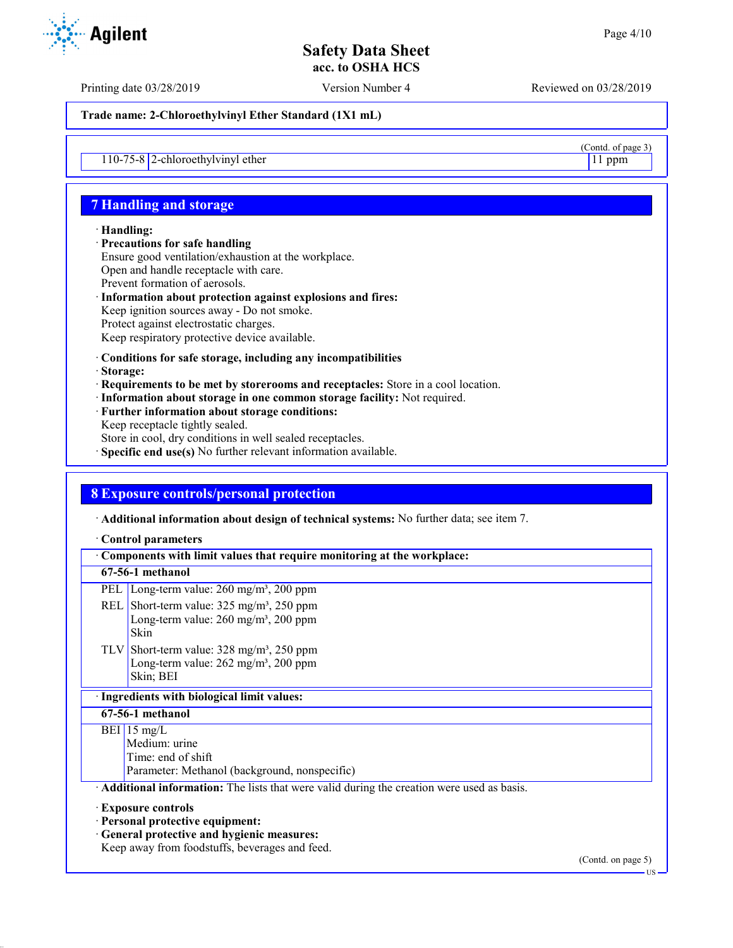$\frac{(\text{Contd. of page 3})}{11 \text{ ppm}}$ 

# **Safety Data Sheet acc. to OSHA HCS**

Printing date 03/28/2019 Version Number 4 Reviewed on 03/28/2019

**Trade name: 2-Chloroethylvinyl Ether Standard (1X1 mL)**

110-75-8  $2$ -chloroethylvinyl ether

# **7 Handling and storage**

## · **Handling:**

- · **Precautions for safe handling** Ensure good ventilation/exhaustion at the workplace. Open and handle receptacle with care. Prevent formation of aerosols. · **Information about protection against explosions and fires:**
- Keep ignition sources away Do not smoke. Protect against electrostatic charges. Keep respiratory protective device available.
- · **Conditions for safe storage, including any incompatibilities**
- · **Storage:**
- · **Requirements to be met by storerooms and receptacles:** Store in a cool location.
- · **Information about storage in one common storage facility:** Not required.
- · **Further information about storage conditions:** Keep receptacle tightly sealed.
- Store in cool, dry conditions in well sealed receptacles.
- · **Specific end use(s)** No further relevant information available.

# **8 Exposure controls/personal protection**

· **Additional information about design of technical systems:** No further data; see item 7.

### · **Control parameters**

|                                             | Components with limit values that require monitoring at the workplace:                                                                                 |  |  |  |
|---------------------------------------------|--------------------------------------------------------------------------------------------------------------------------------------------------------|--|--|--|
|                                             | 67-56-1 methanol                                                                                                                                       |  |  |  |
|                                             | PEL   Long-term value: 260 mg/m <sup>3</sup> , 200 ppm                                                                                                 |  |  |  |
|                                             | REL Short-term value: $325 \text{ mg/m}^3$ , $250 \text{ ppm}$<br>Long-term value: $260 \text{ mg/m}^3$ , $200 \text{ ppm}$<br>Skin                    |  |  |  |
|                                             | TLV Short-term value: $328 \text{ mg/m}^3$ , $250 \text{ ppm}$<br>Long-term value: $262 \text{ mg/m}^3$ , $200 \text{ ppm}$<br>Skin; BEI               |  |  |  |
| · Ingredients with biological limit values: |                                                                                                                                                        |  |  |  |
| 67-56-1 methanol                            |                                                                                                                                                        |  |  |  |
|                                             | BEI 15 mg/L<br>Medium: urine<br>Time: end of shift<br>Parameter: Methanol (background, nonspecific)                                                    |  |  |  |
|                                             | Additional information: The lists that were valid during the creation were used as basis.                                                              |  |  |  |
|                                             | Exposure controls<br>· Personal protective equipment:<br>· General protective and hygienic measures:<br>Keep away from foodstuffs, beverages and feed. |  |  |  |



(Contd. on page 5)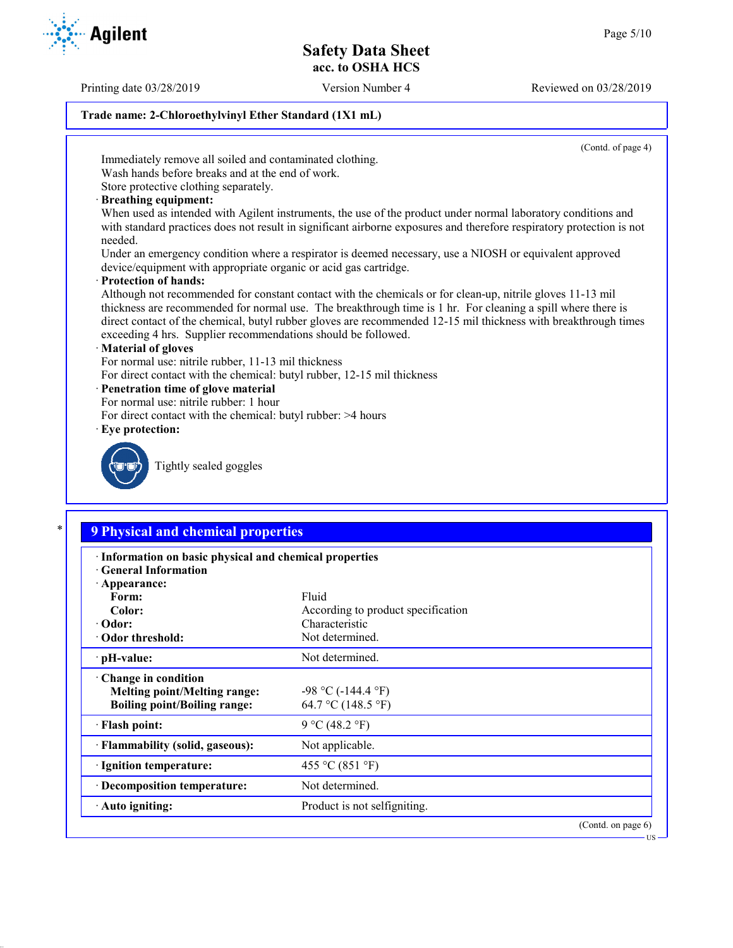Printing date 03/28/2019 Version Number 4 Reviewed on 03/28/2019

## **Trade name: 2-Chloroethylvinyl Ether Standard (1X1 mL)**

(Contd. of page 4)

Immediately remove all soiled and contaminated clothing.

Wash hands before breaks and at the end of work. Store protective clothing separately.

· **Breathing equipment:**

When used as intended with Agilent instruments, the use of the product under normal laboratory conditions and with standard practices does not result in significant airborne exposures and therefore respiratory protection is not needed.

Under an emergency condition where a respirator is deemed necessary, use a NIOSH or equivalent approved device/equipment with appropriate organic or acid gas cartridge.

· **Protection of hands:**

Although not recommended for constant contact with the chemicals or for clean-up, nitrile gloves 11-13 mil thickness are recommended for normal use. The breakthrough time is 1 hr. For cleaning a spill where there is direct contact of the chemical, butyl rubber gloves are recommended 12-15 mil thickness with breakthrough times exceeding 4 hrs. Supplier recommendations should be followed.

## · **Material of gloves**

For normal use: nitrile rubber, 11-13 mil thickness

For direct contact with the chemical: butyl rubber, 12-15 mil thickness

## · **Penetration time of glove material**

- For normal use: nitrile rubber: 1 hour
- For direct contact with the chemical: butyl rubber: >4 hours
- · **Eye protection:**



Tightly sealed goggles

# \* **9 Physical and chemical properties**

| · Information on basic physical and chemical properties |                                    |  |  |
|---------------------------------------------------------|------------------------------------|--|--|
| <b>Ceneral Information</b><br>· Appearance:             |                                    |  |  |
| Form:                                                   | Fluid                              |  |  |
| Color:                                                  | According to product specification |  |  |
| $\cdot$ Odor:                                           | Characteristic                     |  |  |
| • Odor threshold:                                       | Not determined.                    |  |  |
| $\cdot$ pH-value:                                       | Not determined.                    |  |  |
| $\cdot$ Change in condition                             |                                    |  |  |
| <b>Melting point/Melting range:</b>                     | $-98$ °C ( $-144.4$ °F)            |  |  |
| <b>Boiling point/Boiling range:</b>                     | 64.7 °C (148.5 °F)                 |  |  |
| · Flash point:                                          | 9 °C (48.2 °F)                     |  |  |
| · Flammability (solid, gaseous):                        | Not applicable.                    |  |  |
| · Ignition temperature:                                 | 455 °C (851 °F)                    |  |  |
| · Decomposition temperature:                            | Not determined.                    |  |  |
| · Auto igniting:                                        | Product is not selfigniting.       |  |  |
|                                                         | $\sqrt{2}$ $\sqrt{1}$              |  |  |

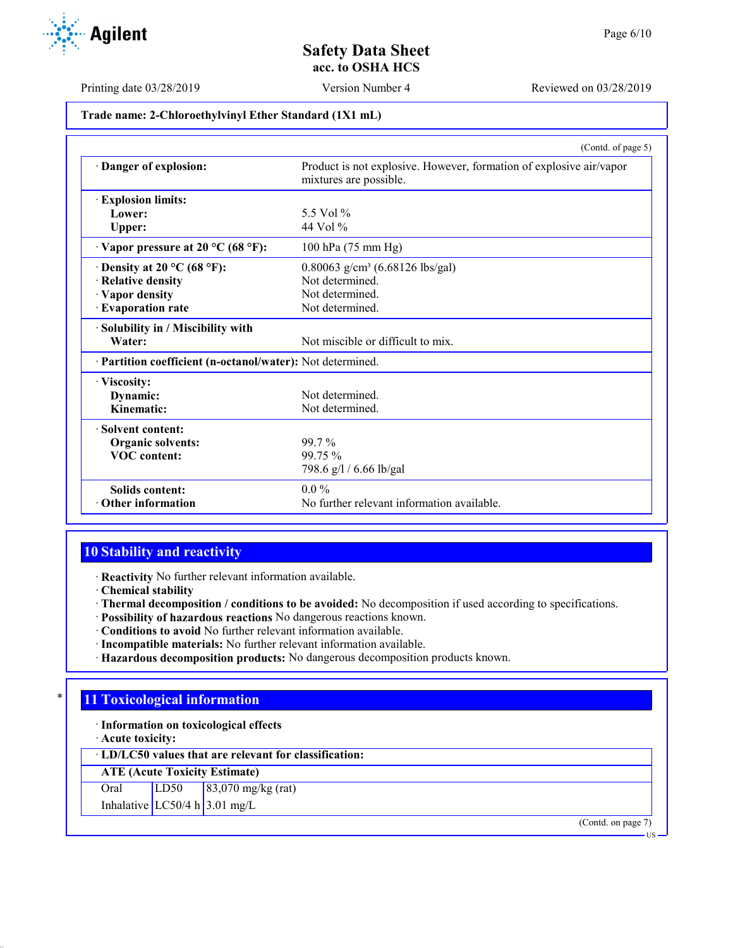

Printing date 03/28/2019 Version Number 4 Reviewed on 03/28/2019

# **Trade name: 2-Chloroethylvinyl Ether Standard (1X1 mL)**

|                                                            | (Contd. of page 5)                                                                            |
|------------------------------------------------------------|-----------------------------------------------------------------------------------------------|
| Danger of explosion:                                       | Product is not explosive. However, formation of explosive air/vapor<br>mixtures are possible. |
| <b>Explosion limits:</b>                                   |                                                                                               |
| Lower:                                                     | 5.5 Vol %                                                                                     |
| Upper:                                                     | 44 Vol $\%$                                                                                   |
| $\cdot$ Vapor pressure at 20 °C (68 °F):                   | 100 hPa (75 mm Hg)                                                                            |
| $\cdot$ Density at 20 °C (68 °F):                          | 0.80063 g/cm <sup>3</sup> (6.68126 lbs/gal)                                                   |
| · Relative density                                         | Not determined.                                                                               |
| · Vapor density                                            | Not determined.                                                                               |
| · Evaporation rate                                         | Not determined.                                                                               |
| · Solubility in / Miscibility with                         |                                                                                               |
| Water:                                                     | Not miscible or difficult to mix.                                                             |
| · Partition coefficient (n-octanol/water): Not determined. |                                                                                               |
| · Viscosity:                                               |                                                                                               |
| Dynamic:                                                   | Not determined.                                                                               |
| Kinematic:                                                 | Not determined.                                                                               |
| · Solvent content:                                         |                                                                                               |
| Organic solvents:                                          | 99.7 %                                                                                        |
| <b>VOC</b> content:                                        | 99.75 %                                                                                       |
|                                                            | 798.6 g/l / 6.66 lb/gal                                                                       |
| <b>Solids content:</b>                                     | $0.0\%$                                                                                       |
| $\cdot$ Other information                                  | No further relevant information available.                                                    |

## **10 Stability and reactivity**

· **Reactivity** No further relevant information available.

- · **Chemical stability**
- · **Thermal decomposition / conditions to be avoided:** No decomposition if used according to specifications.
- · **Possibility of hazardous reactions** No dangerous reactions known.
- · **Conditions to avoid** No further relevant information available.
- · **Incompatible materials:** No further relevant information available.
- · **Hazardous decomposition products:** No dangerous decomposition products known.

# **11 Toxicological information**

- · **Information on toxicological effects**
- · **Acute toxicity:**

· **LD/LC50 values that are relevant for classification:**

**ATE (Acute Toxicity Estimate)**

Oral LD50 83,070 mg/kg (rat)

Inhalative  $LC50/4 h 3.01 mg/L$ 

(Contd. on page 7)

US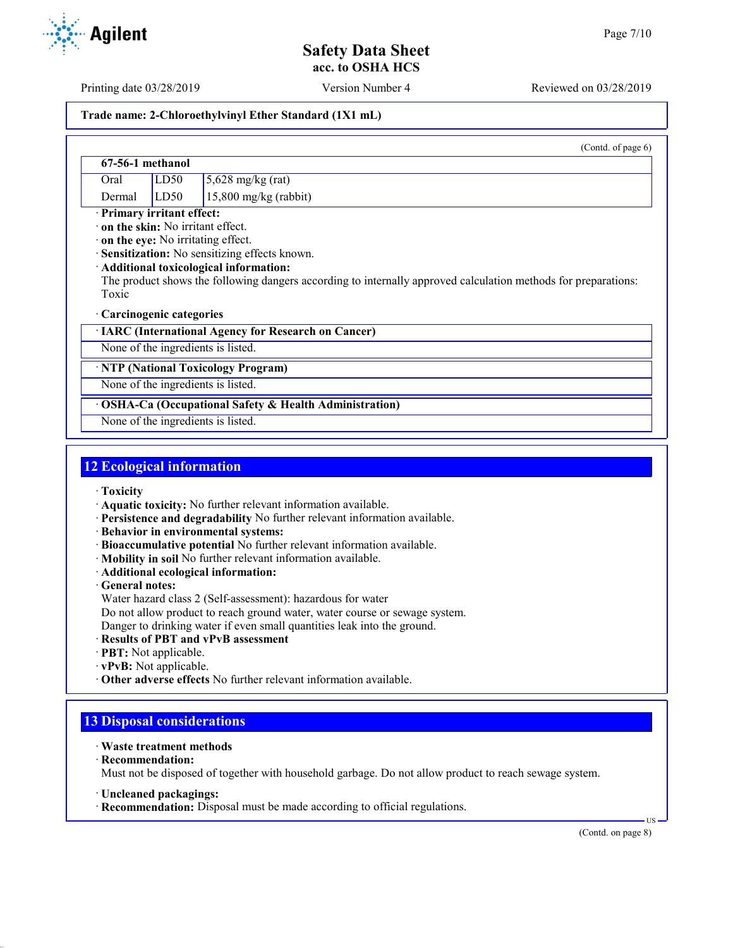Printing date 03/28/2019 Version Number 4 Reviewed on 03/28/2019

## **Trade name: 2-Chloroethylvinyl Ether Standard (1X1 mL)**

|                  |      | (Contd. of page $6$ )       |
|------------------|------|-----------------------------|
| 67-56-1 methanol |      |                             |
| Oral             | LD50 | $5,628 \text{ mg/kg}$ (rat) |
| Dermal           | LD50 | $15,800$ mg/kg (rabbit)     |

· **Primary irritant effect:**

· **on the skin:** No irritant effect.

· **on the eye:** No irritating effect.

· **Sensitization:** No sensitizing effects known.

### · **Additional toxicological information:**

The product shows the following dangers according to internally approved calculation methods for preparations: Toxic

### · **Carcinogenic categories**

· **IARC (International Agency for Research on Cancer)**

None of the ingredients is listed.

· **NTP (National Toxicology Program)**

None of the ingredients is listed.

· **OSHA-Ca (Occupational Safety & Health Administration)**

None of the ingredients is listed.

## **12 Ecological information**

· **Toxicity**

· **Aquatic toxicity:** No further relevant information available.

· **Persistence and degradability** No further relevant information available.

· **Behavior in environmental systems:**

- · **Bioaccumulative potential** No further relevant information available.
- · **Mobility in soil** No further relevant information available.
- · **Additional ecological information:**

· **General notes:**

Water hazard class 2 (Self-assessment): hazardous for water

Do not allow product to reach ground water, water course or sewage system.

Danger to drinking water if even small quantities leak into the ground.

- · **Results of PBT and vPvB assessment**
- · **PBT:** Not applicable.
- · **vPvB:** Not applicable.
- · **Other adverse effects** No further relevant information available.

# **13 Disposal considerations**

- · **Waste treatment methods**
- · **Recommendation:**

Must not be disposed of together with household garbage. Do not allow product to reach sewage system.

- · **Uncleaned packagings:**
- · **Recommendation:** Disposal must be made according to official regulations.

(Contd. on page 8)

US

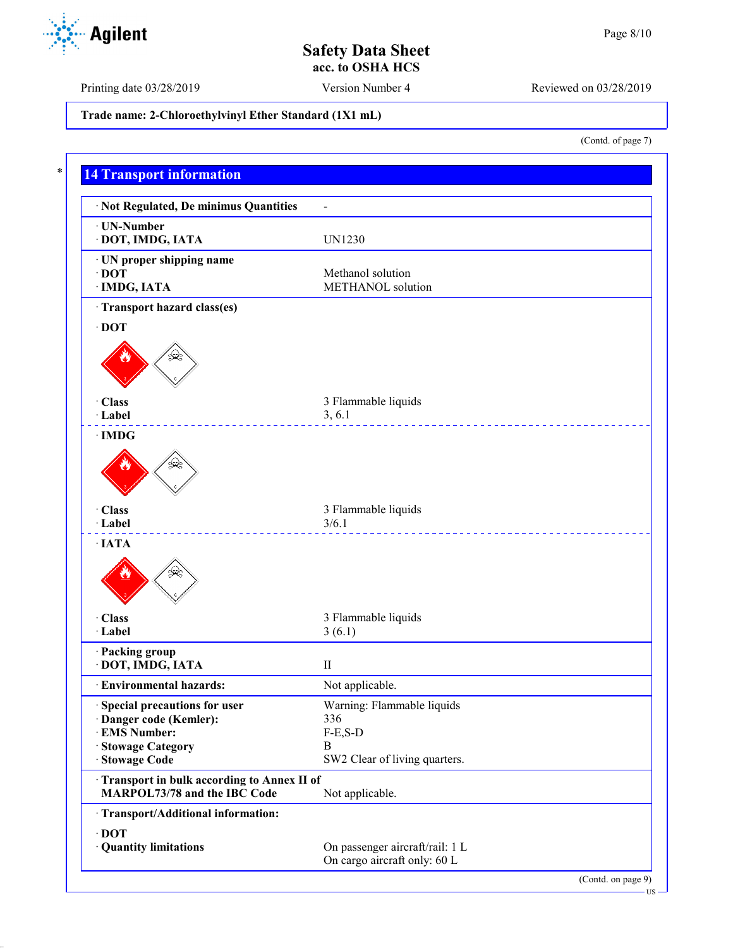Printing date 03/28/2019 Version Number 4 Reviewed on 03/28/2019

**Trade name: 2-Chloroethylvinyl Ether Standard (1X1 mL)**

(Contd. of page 7)

US

|                                                                            | $\overline{a}$                  |
|----------------------------------------------------------------------------|---------------------------------|
| · UN-Number<br>· DOT, IMDG, IATA                                           | <b>UN1230</b>                   |
| · UN proper shipping name                                                  |                                 |
| $\cdot$ DOT                                                                | Methanol solution               |
| · IMDG, IATA                                                               | METHANOL solution               |
| · Transport hazard class(es)                                               |                                 |
| $\cdot$ DOT                                                                |                                 |
|                                                                            |                                 |
| · Class                                                                    | 3 Flammable liquids             |
| · Label                                                                    | 3, 6.1                          |
| $\cdot$ IMDG                                                               |                                 |
|                                                                            |                                 |
| · Class<br>· Label                                                         | 3 Flammable liquids<br>3/6.1    |
| $\cdot$ IATA                                                               | ______________________________  |
| بمحيكة<br>· Class<br>· Label                                               | 3 Flammable liquids<br>3(6.1)   |
| · Packing group                                                            |                                 |
| · DOT, IMDG, IATA                                                          | $\mathbf{H}$                    |
| · Environmental hazards:                                                   | Not applicable.                 |
| Special precautions for user                                               | Warning: Flammable liquids      |
| · Danger code (Kemler):                                                    | 336                             |
| · EMS Number:                                                              | $F-E,S-D$                       |
| · Stowage Category                                                         | B                               |
| · Stowage Code                                                             | SW2 Clear of living quarters.   |
| Transport in bulk according to Annex II of<br>MARPOL73/78 and the IBC Code | Not applicable.                 |
| · Transport/Additional information:                                        |                                 |
| $\cdot$ DOT                                                                |                                 |
| · Quantity limitations                                                     | On passenger aircraft/rail: 1 L |

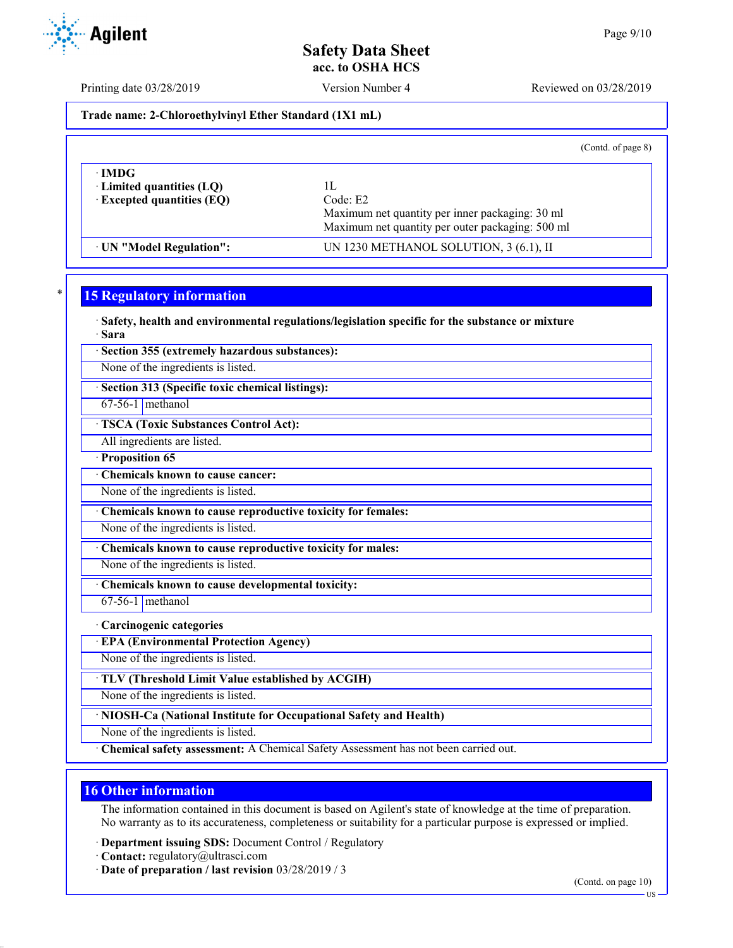**acc. to OSHA HCS**

Printing date 03/28/2019 Version Number 4 Reviewed on 03/28/2019

**Trade name: 2-Chloroethylvinyl Ether Standard (1X1 mL)**

(Contd. of page 8)

| $\cdot$ IMDG $\cdot$<br>$\cdot$ Limited quantities (LQ)<br>$\cdot$ Excepted quantities (EQ) | ιL<br>Code: E2<br>Maximum net quantity per inner packaging: 30 ml<br>Maximum net quantity per outer packaging: 500 ml |  |
|---------------------------------------------------------------------------------------------|-----------------------------------------------------------------------------------------------------------------------|--|
| UN "Model Regulation":                                                                      | UN 1230 METHANOL SOLUTION, 3 (6.1), II                                                                                |  |

# **15 Regulatory information**

· **Safety, health and environmental regulations/legislation specific for the substance or mixture** · **Sara**

· **Section 355 (extremely hazardous substances):**

None of the ingredients is listed.

· **Section 313 (Specific toxic chemical listings):**

67-56-1 methanol

· **TSCA (Toxic Substances Control Act):**

All ingredients are listed.

· **Proposition 65**

· **Chemicals known to cause cancer:**

None of the ingredients is listed.

· **Chemicals known to cause reproductive toxicity for females:**

None of the ingredients is listed.

· **Chemicals known to cause reproductive toxicity for males:**

None of the ingredients is listed.

· **Chemicals known to cause developmental toxicity:**

67-56-1 methanol

· **Carcinogenic categories**

· **EPA (Environmental Protection Agency)**

None of the ingredients is listed.

· **TLV (Threshold Limit Value established by ACGIH)**

None of the ingredients is listed.

· **NIOSH-Ca (National Institute for Occupational Safety and Health)**

None of the ingredients is listed.

· **Chemical safety assessment:** A Chemical Safety Assessment has not been carried out.

## **16 Other information**

The information contained in this document is based on Agilent's state of knowledge at the time of preparation. No warranty as to its accurateness, completeness or suitability for a particular purpose is expressed or implied.

· **Department issuing SDS:** Document Control / Regulatory

- · **Contact:** regulatory@ultrasci.com
- · **Date of preparation / last revision** 03/28/2019 / 3

(Contd. on page 10)



US